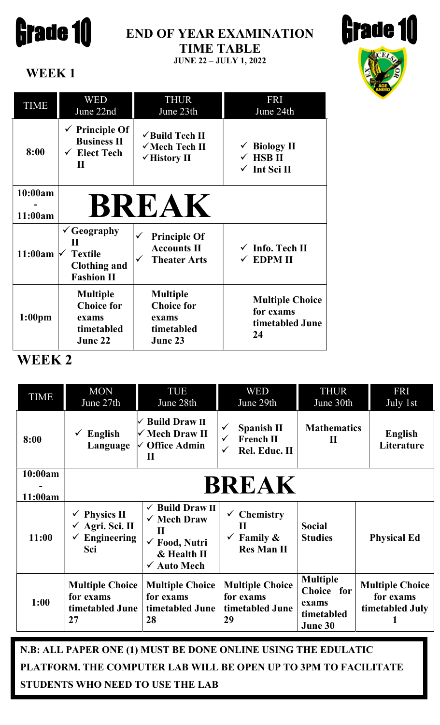

# END OF YEAR EXAMINATION TIME TABLE

JUNE 22 – JULY 1, 2022



WEEK 1

| <b>TIME</b>         | WED<br>June 22nd                                                                                    | <b>THUR</b><br>June 23th                                                         | <b>FRI</b><br>June 24th                                                   |
|---------------------|-----------------------------------------------------------------------------------------------------|----------------------------------------------------------------------------------|---------------------------------------------------------------------------|
| 8:00                | $\checkmark$ Principle Of<br><b>Business II</b><br>$\checkmark$ Elect Tech<br>$\mathbf H$           | $\checkmark$ Build Tech II<br>√Mech Tech II<br>$\checkmark$ History II           | $\checkmark$ Biology II<br>$\checkmark$ HSB II<br>$\checkmark$ Int Sci II |
| 10:00am<br>11:00am  |                                                                                                     | <b>BREAK</b>                                                                     |                                                                           |
| 11:00am $\sqrt{\ }$ | $\checkmark$ Geography<br>$\mathbf H$<br><b>Textile</b><br><b>Clothing and</b><br><b>Fashion II</b> | <b>Principle Of</b><br><b>Accounts II</b><br><b>Theater Arts</b><br>$\checkmark$ | $\checkmark$ Info. Tech II<br>$\checkmark$ EDPM II                        |
| 1:00 <sub>pm</sub>  | <b>Multiple</b><br><b>Choice for</b><br>exams<br>timetabled<br>June 22                              | <b>Multiple</b><br><b>Choice for</b><br>exams<br>timetabled<br>June 23           | <b>Multiple Choice</b><br>for exams<br>timetabled June<br>24              |

## WEEK 2

| <b>TIME</b>        | <b>MON</b><br>June 27th                                         | TUE<br>June 28th                                                                                                                         | <b>WED</b><br>June 29th                                                                | <b>THUR</b><br>June 30th                                        | <b>FRI</b><br>July $1st$                               |  |
|--------------------|-----------------------------------------------------------------|------------------------------------------------------------------------------------------------------------------------------------------|----------------------------------------------------------------------------------------|-----------------------------------------------------------------|--------------------------------------------------------|--|
| 8:00               | English<br>Language                                             | <b>Build Draw II</b><br>√ Mech Draw II<br>$\vee$ Office Admin<br>$\mathbf H$                                                             | <b>Spanish II</b><br><b>French II</b><br>$\checkmark$<br>Rel. Educ. II<br>$\checkmark$ | <b>Mathematics</b><br>$\mathbf H$                               | English<br>Literature                                  |  |
| 10:00am<br>11:00am | <b>BREAK</b>                                                    |                                                                                                                                          |                                                                                        |                                                                 |                                                        |  |
| 11:00              | <b>Physics II</b><br>Agri. Sci. II<br><b>Engineering</b><br>Sci | $\checkmark$ Build Draw II<br>$\checkmark$ Mech Draw<br>$\mathbf H$<br>$\checkmark$ Food, Nutri<br>& Health II<br>$\checkmark$ Auto Mech | $\checkmark$ Chemistry<br>$\mathbf{H}$<br>Family $\&$<br><b>Res Man II</b>             | <b>Social</b><br><b>Studies</b>                                 | <b>Physical Ed</b>                                     |  |
| 1:00               | <b>Multiple Choice</b><br>for exams<br>timetabled June<br>27    | <b>Multiple Choice</b><br>for exams<br>timetabled June<br>28                                                                             | <b>Multiple Choice</b><br>for exams<br>timetabled June<br>29                           | <b>Multiple</b><br>Choice for<br>exams<br>timetabled<br>June 30 | <b>Multiple Choice</b><br>for exams<br>timetabled July |  |

N.B: ALL PAPER ONE (1) MUST BE DONE ONLINE USING THE EDULATIC PLATFORM. THE COMPUTER LAB WILL BE OPEN UP TO 3PM TO FACILITATE STUDENTS WHO NEED TO USE THE LAB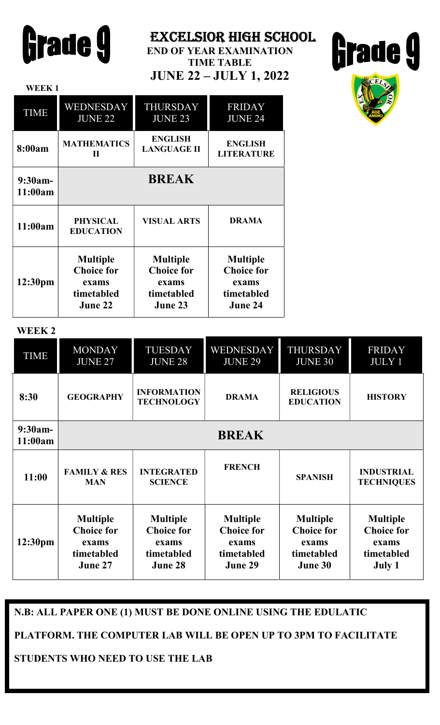| Grade 9 |  |
|---------|--|
|---------|--|

WEEK 1

EXCELSIOR HIGH SCHOOL

END OF YEAR EXAMINATION TIME TABLE JUNE 22 – JULY 1, 2022





| <b>TIME</b>          | <b>WEDNESDAY</b>                    | <b>THURSDAY</b>    | <b>FRIDAY</b>     |
|----------------------|-------------------------------------|--------------------|-------------------|
|                      | <b>JUNE 22</b>                      | <b>JUNE 23</b>     | <b>JUNE 24</b>    |
| 8:00am               | <b>MATHEMATICS</b>                  | <b>ENGLISH</b>     | <b>ENGLISH</b>    |
|                      | П                                   | <b>LANGUAGE II</b> | <b>LITERATURE</b> |
| $9:30am-$<br>11:00am |                                     | <b>BREAK</b>       |                   |
| 11:00am              | <b>PHYSICAL</b><br><b>EDUCATION</b> | <b>VISUAL ARTS</b> | <b>DRAMA</b>      |
| 12:30pm              | <b>Multiple</b>                     | <b>Multiple</b>    | <b>Multiple</b>   |
|                      | <b>Choice for</b>                   | <b>Choice for</b>  | <b>Choice for</b> |
|                      | exams                               | exams              | exams             |
|                      | timetabled                          | timetabled         | timetabled        |
|                      | June 22                             | June 23            | June 24           |

#### WEEK 2

ł

| <b>TIME</b>         | <b>MONDAY</b><br><b>JUNE 27</b>                                        | <b>TUESDAY</b><br><b>JUNE 28</b>                                       | <b>WEDNESDAY</b><br><b>JUNE 29</b>                                     | <b>THURSDAY</b><br><b>JUNE 30</b>                                      | <b>FRIDAY</b><br><b>JULY 1</b>                                        |  |
|---------------------|------------------------------------------------------------------------|------------------------------------------------------------------------|------------------------------------------------------------------------|------------------------------------------------------------------------|-----------------------------------------------------------------------|--|
| 8:30                | <b>GEOGRAPHY</b>                                                       | <b>INFORMATION</b><br><b>TECHNOLOGY</b>                                | <b>DRAMA</b>                                                           | <b>RELIGIOUS</b><br><b>EDUCATION</b>                                   | <b>HISTORY</b>                                                        |  |
| 9:30am-<br>11:00am  | <b>BREAK</b>                                                           |                                                                        |                                                                        |                                                                        |                                                                       |  |
| 11:00               | <b>FAMILY &amp; RES</b><br><b>MAN</b>                                  | <b>INTEGRATED</b><br><b>SCIENCE</b>                                    | <b>FRENCH</b>                                                          | <b>SPANISH</b>                                                         | <b>INDUSTRIAL</b><br><b>TECHNIQUES</b>                                |  |
| 12:30 <sub>pm</sub> | <b>Multiple</b><br><b>Choice for</b><br>exams<br>timetabled<br>June 27 | <b>Multiple</b><br><b>Choice for</b><br>exams<br>timetabled<br>June 28 | <b>Multiple</b><br><b>Choice for</b><br>exams<br>timetabled<br>June 29 | <b>Multiple</b><br><b>Choice for</b><br>exams<br>timetabled<br>June 30 | <b>Multiple</b><br><b>Choice for</b><br>exams<br>timetabled<br>July 1 |  |

#### N.B: ALL PAPER ONE (1) MUST BE DONE ONLINE USING THE EDULATIC

#### PLATFORM. THE COMPUTER LAB WILL BE OPEN UP TO 3PM TO FACILITATE

#### STUDENTS WHO NEED TO USE THE LAB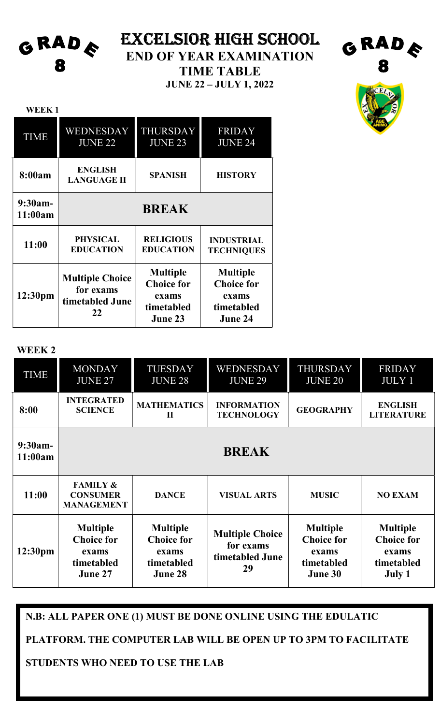**GRADE** 8

WEEK<sub>1</sub>

# EXCELSIOR HIGH SCHOOL

END OF YEAR EXAMINATION

TIME TABLE

JUNE 22 – JULY 1, 2022



**GRADE** 

| <b>TIME</b>           | WEDNESDAY<br><b>JUNE 22</b>                                  | <b>THURSDAY</b><br><b>JUNE 23</b>                                      | <b>FRIDAY</b><br><b>JUNE 24</b>                                        |  |
|-----------------------|--------------------------------------------------------------|------------------------------------------------------------------------|------------------------------------------------------------------------|--|
| 8:00am                | <b>ENGLISH</b><br><b>LANGUAGE II</b>                         | <b>SPANISH</b>                                                         | <b>HISTORY</b>                                                         |  |
| $9:30am -$<br>11:00am | <b>BREAK</b>                                                 |                                                                        |                                                                        |  |
| 11:00                 | <b>PHYSICAL</b><br><b>EDUCATION</b>                          | <b>RELIGIOUS</b><br><b>EDUCATION</b>                                   | <b>INDUSTRIAL</b><br><b>TECHNIQUES</b>                                 |  |
| 12:30pm               | <b>Multiple Choice</b><br>for exams<br>timetabled June<br>22 | <b>Multiple</b><br><b>Choice for</b><br>exams<br>timetabled<br>June 23 | <b>Multiple</b><br><b>Choice for</b><br>exams<br>timetabled<br>June 24 |  |

#### WEEK 2

| TIME                 | <b>MONDAY</b><br><b>JUNE 27</b>                                        | <b>TUESDAY</b><br><b>JUNE 28</b>                                       | WEDNESDAY<br><b>JUNE 29</b>                                  | <b>THURSDAY</b><br><b>JUNE 20</b>                                      | <b>FRIDAY</b><br><b>JULY 1</b>                                        |
|----------------------|------------------------------------------------------------------------|------------------------------------------------------------------------|--------------------------------------------------------------|------------------------------------------------------------------------|-----------------------------------------------------------------------|
| 8:00                 | <b>INTEGRATED</b><br><b>SCIENCE</b>                                    | <b>MATHEMATICS</b><br>$\mathbf{I}$                                     | <b>INFORMATION</b><br><b>TECHNOLOGY</b>                      | <b>GEOGRAPHY</b>                                                       | <b>ENGLISH</b><br><b>LITERATURE</b>                                   |
| $9:30am-$<br>11:00am | <b>BREAK</b>                                                           |                                                                        |                                                              |                                                                        |                                                                       |
| 11:00                | <b>FAMILY &amp;</b><br><b>CONSUMER</b><br><b>MANAGEMENT</b>            | <b>DANCE</b>                                                           | <b>VISUAL ARTS</b>                                           | <b>MUSIC</b>                                                           | <b>NO EXAM</b>                                                        |
| 12:30 <sub>pm</sub>  | <b>Multiple</b><br><b>Choice for</b><br>exams<br>timetabled<br>June 27 | <b>Multiple</b><br><b>Choice for</b><br>exams<br>timetabled<br>June 28 | <b>Multiple Choice</b><br>for exams<br>timetabled June<br>29 | <b>Multiple</b><br><b>Choice for</b><br>exams<br>timetabled<br>June 30 | <b>Multiple</b><br><b>Choice for</b><br>exams<br>timetabled<br>July 1 |

### N.B: ALL PAPER ONE (1) MUST BE DONE ONLINE USING THE EDULATIC

PLATFORM. THE COMPUTER LAB WILL BE OPEN UP TO 3PM TO FACILITATE

STUDENTS WHO NEED TO USE THE LAB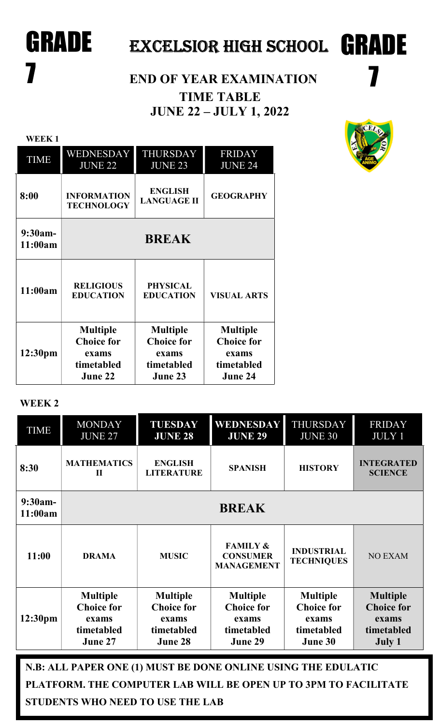# GRADE EXCELSIOR HIGH SCHOOL GRADE

# **7** END OF YEAR EXAMINATION TIME TABLE JUNE 22 – JULY 1, 2022



7

| <b>WEEK1</b>          |                                                                        |                                                                        |                                                                        |
|-----------------------|------------------------------------------------------------------------|------------------------------------------------------------------------|------------------------------------------------------------------------|
| <b>TIME</b>           | WEDNESDAY<br><b>JUNE 22</b>                                            | <b>THURSDAY</b><br><b>JUNE 23</b>                                      | <b>FRIDAY</b><br><b>JUNE 24</b>                                        |
| 8:00                  | <b>INFORMATION</b><br><b>TECHNOLOGY</b>                                | <b>ENGLISH</b><br><b>LANGUAGE II</b>                                   | <b>GEOGRAPHY</b>                                                       |
| $9:30am -$<br>11:00am |                                                                        | <b>BREAK</b>                                                           |                                                                        |
| 11:00am               | <b>RELIGIOUS</b><br><b>EDUCATION</b>                                   | <b>PHYSICAL</b><br><b>EDUCATION</b>                                    | <b>VISUAL ARTS</b>                                                     |
| 12:30 <sub>pm</sub>   | <b>Multiple</b><br><b>Choice for</b><br>exams<br>timetabled<br>June 22 | <b>Multiple</b><br><b>Choice for</b><br>exams<br>timetabled<br>June 23 | <b>Multiple</b><br><b>Choice for</b><br>exams<br>timetabled<br>June 24 |

#### WEEK 2

| <b>TIME</b>                                                   | <b>MONDAY</b><br><b>JUNE 27</b>                                        | <b>TUESDAY</b><br><b>JUNE 28</b>                                       | <b>WEDNESDAY</b><br><b>JUNE 29</b>                                     | <b>THURSDAY</b><br><b>JUNE 30</b>                                      | <b>FRIDAY</b><br><b>JULY 1</b>                                        |  |
|---------------------------------------------------------------|------------------------------------------------------------------------|------------------------------------------------------------------------|------------------------------------------------------------------------|------------------------------------------------------------------------|-----------------------------------------------------------------------|--|
| 8:30                                                          | <b>MATHEMATICS</b><br>$\mathbf H$                                      | <b>ENGLISH</b><br><b>LITERATURE</b>                                    | <b>SPANISH</b>                                                         | <b>HISTORY</b>                                                         | <b>INTEGRATED</b><br><b>SCIENCE</b>                                   |  |
| $9:30am-$<br>11:00am                                          | <b>BREAK</b>                                                           |                                                                        |                                                                        |                                                                        |                                                                       |  |
| 11:00                                                         | <b>DRAMA</b>                                                           | <b>MUSIC</b>                                                           | <b>FAMILY &amp;</b><br><b>CONSUMER</b><br><b>MANAGEMENT</b>            | <b>INDUSTRIAL</b><br><b>TECHNIQUES</b>                                 | <b>NO EXAM</b>                                                        |  |
| 12:30 <sub>pm</sub>                                           | <b>Multiple</b><br><b>Choice for</b><br>exams<br>timetabled<br>June 27 | <b>Multiple</b><br><b>Choice for</b><br>exams<br>timetabled<br>June 28 | <b>Multiple</b><br><b>Choice for</b><br>exams<br>timetabled<br>June 29 | <b>Multiple</b><br><b>Choice for</b><br>exams<br>timetabled<br>June 30 | <b>Multiple</b><br><b>Choice for</b><br>exams<br>timetabled<br>July 1 |  |
| N.B: ALL PAPER ONE (1) MUST BE DONE ONLINE USING THE EDULATIC |                                                                        |                                                                        |                                                                        |                                                                        |                                                                       |  |

PLATFORM. THE COMPUTER LAB WILL BE OPEN UP TO 3PM TO FACILITATE STUDENTS WHO NEED TO USE THE LAB